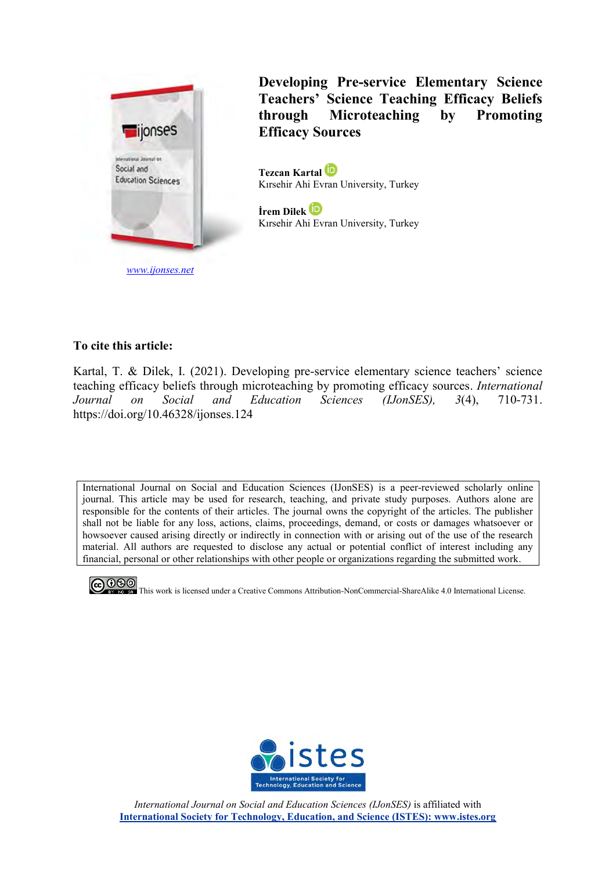

*[www.ijonses.net](http://www.ijonses.net/)*

**Developing Pre-service Elementary Science Teachers' Science Teaching Efficacy Beliefs through Microteaching by Promoting Efficacy Sources**

**Tezcan Kartal**  Kırsehir Ahi Evran University, Turkey

**İrem Dilek** Kırsehir Ahi Evran University, Turkey

## **To cite this article:**

Kartal, T. & Dilek, I. (2021). Developing pre-service elementary science teachers' science teaching efficacy beliefs through microteaching by promoting efficacy sources. *International Journal on Social and Education Sciences (IJonSES), 3*(4), 710-731. https://doi.org/10.46328/ijonses.124

International Journal on Social and Education Sciences (IJonSES) is a peer-reviewed scholarly online journal. This article may be used for research, teaching, and private study purposes. Authors alone are responsible for the contents of their articles. The journal owns the copyright of the articles. The publisher shall not be liable for any loss, actions, claims, proceedings, demand, or costs or damages whatsoever or howsoever caused arising directly or indirectly in connection with or arising out of the use of the research material. All authors are requested to disclose any actual or potential conflict of interest including any financial, personal or other relationships with other people or organizations regarding the submitted work.

**CO OSO**<br>**This work is licensed under a Creative Commons Attribution-NonCommercial-ShareAlike 4.0 International License.** 



*International Journal on Social and Education Sciences (IJonSES)* is affiliated with **International Society for Technology, Education, and Science (ISTES): www.istes.org**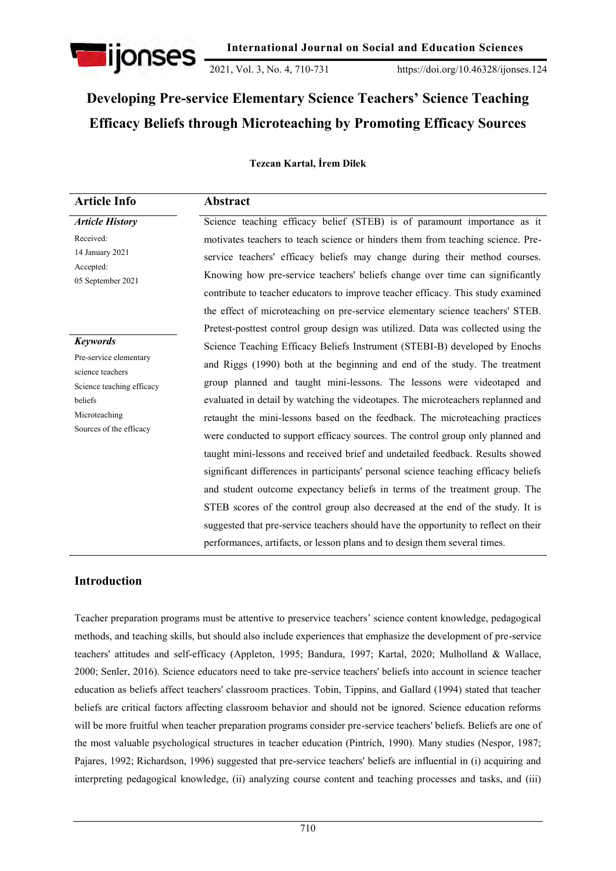

2021, Vol. 3, No. 4, 710-731 https://doi.org/10.46328/ijonses.124

# **Developing Pre-service Elementary Science Teachers' Science Teaching Efficacy Beliefs through Microteaching by Promoting Efficacy Sources**

### **Tezcan Kartal, İrem Dilek**

| <b>Article Info</b>                        | Abstract                                                                            |
|--------------------------------------------|-------------------------------------------------------------------------------------|
| <b>Article History</b>                     | Science teaching efficacy belief (STEB) is of paramount importance as it            |
| Received:                                  | motivates teachers to teach science or hinders them from teaching science. Pre-     |
| 14 January 2021<br>Accepted:               | service teachers' efficacy beliefs may change during their method courses.          |
| 05 September 2021                          | Knowing how pre-service teachers' beliefs change over time can significantly        |
|                                            | contribute to teacher educators to improve teacher efficacy. This study examined    |
|                                            | the effect of microteaching on pre-service elementary science teachers' STEB.       |
|                                            | Pretest-posttest control group design was utilized. Data was collected using the    |
| <b>Keywords</b>                            | Science Teaching Efficacy Beliefs Instrument (STEBI-B) developed by Enochs          |
| Pre-service elementary<br>science teachers | and Riggs (1990) both at the beginning and end of the study. The treatment          |
| Science teaching efficacy                  | group planned and taught mini-lessons. The lessons were videotaped and              |
| beliefs                                    | evaluated in detail by watching the videotapes. The microteachers replanned and     |
| Microteaching                              | retaught the mini-lessons based on the feedback. The microteaching practices        |
| Sources of the efficacy                    | were conducted to support efficacy sources. The control group only planned and      |
|                                            | taught mini-lessons and received brief and undetailed feedback. Results showed      |
|                                            | significant differences in participants' personal science teaching efficacy beliefs |
|                                            | and student outcome expectancy beliefs in terms of the treatment group. The         |
|                                            | STEB scores of the control group also decreased at the end of the study. It is      |
|                                            | suggested that pre-service teachers should have the opportunity to reflect on their |
|                                            | performances, artifacts, or lesson plans and to design them several times.          |

# **Introduction**

Teacher preparation programs must be attentive to preservice teachers" science content knowledge, pedagogical methods, and teaching skills, but should also include experiences that emphasize the development of pre-service teachers' attitudes and self-efficacy (Appleton, 1995; Bandura, 1997; Kartal, 2020; Mulholland & Wallace, 2000; Senler, 2016). Science educators need to take pre-service teachers' beliefs into account in science teacher education as beliefs affect teachers' classroom practices. Tobin, Tippins, and Gallard (1994) stated that teacher beliefs are critical factors affecting classroom behavior and should not be ignored. Science education reforms will be more fruitful when teacher preparation programs consider pre-service teachers' beliefs. Beliefs are one of the most valuable psychological structures in teacher education (Pintrich, 1990). Many studies (Nespor, 1987; Pajares, 1992; Richardson, 1996) suggested that pre-service teachers' beliefs are influential in (i) acquiring and interpreting pedagogical knowledge, (ii) analyzing course content and teaching processes and tasks, and (iii)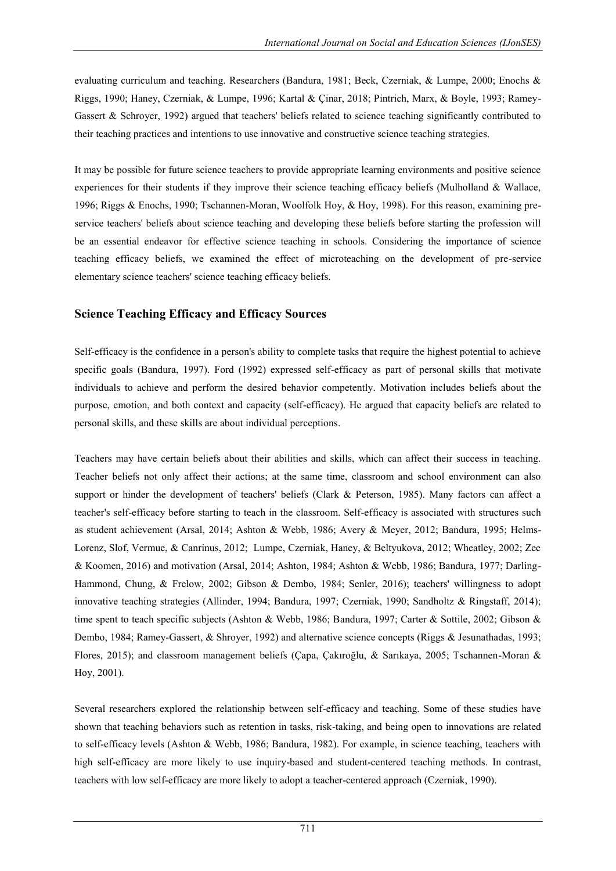evaluating curriculum and teaching. Researchers (Bandura, 1981; Beck, Czerniak, & Lumpe, 2000; Enochs & Riggs, 1990; Haney, Czerniak, & Lumpe, 1996; Kartal & Çinar, 2018; Pintrich, Marx, & Boyle, 1993; Ramey-Gassert & Schroyer, 1992) argued that teachers' beliefs related to science teaching significantly contributed to their teaching practices and intentions to use innovative and constructive science teaching strategies.

It may be possible for future science teachers to provide appropriate learning environments and positive science experiences for their students if they improve their science teaching efficacy beliefs (Mulholland & Wallace, 1996; Riggs & Enochs, 1990; Tschannen-Moran, Woolfolk Hoy, & Hoy, 1998). For this reason, examining preservice teachers' beliefs about science teaching and developing these beliefs before starting the profession will be an essential endeavor for effective science teaching in schools. Considering the importance of science teaching efficacy beliefs, we examined the effect of microteaching on the development of pre-service elementary science teachers' science teaching efficacy beliefs.

# **Science Teaching Efficacy and Efficacy Sources**

Self-efficacy is the confidence in a person's ability to complete tasks that require the highest potential to achieve specific goals (Bandura, 1997). Ford (1992) expressed self-efficacy as part of personal skills that motivate individuals to achieve and perform the desired behavior competently. Motivation includes beliefs about the purpose, emotion, and both context and capacity (self-efficacy). He argued that capacity beliefs are related to personal skills, and these skills are about individual perceptions.

Teachers may have certain beliefs about their abilities and skills, which can affect their success in teaching. Teacher beliefs not only affect their actions; at the same time, classroom and school environment can also support or hinder the development of teachers' beliefs (Clark & Peterson, 1985). Many factors can affect a teacher's self-efficacy before starting to teach in the classroom. Self-efficacy is associated with structures such as student achievement (Arsal, 2014; Ashton & Webb, 1986; Avery & Meyer, 2012; Bandura, 1995; Helms-Lorenz, Slof, Vermue, & Canrinus, 2012; Lumpe, Czerniak, Haney, & Beltyukova, 2012; Wheatley, 2002; Zee & Koomen, 2016) and motivation (Arsal, 2014; Ashton, 1984; Ashton & Webb, 1986; Bandura, 1977; Darling-Hammond, Chung, & Frelow, 2002; Gibson & Dembo, 1984; Senler, 2016); teachers' willingness to adopt innovative teaching strategies (Allinder, 1994; Bandura, 1997; Czerniak, 1990; Sandholtz & Ringstaff, 2014); time spent to teach specific subjects (Ashton & Webb, 1986; Bandura, 1997; Carter & Sottile, 2002; Gibson & Dembo, 1984; Ramey-Gassert, & Shroyer, 1992) and alternative science concepts (Riggs & Jesunathadas, 1993; Flores, 2015); and classroom management beliefs (Çapa, Çakıroğlu, & Sarıkaya, 2005; Tschannen-Moran & Hoy, 2001).

Several researchers explored the relationship between self-efficacy and teaching. Some of these studies have shown that teaching behaviors such as retention in tasks, risk-taking, and being open to innovations are related to self-efficacy levels (Ashton & Webb, 1986; Bandura, 1982). For example, in science teaching, teachers with high self-efficacy are more likely to use inquiry-based and student-centered teaching methods. In contrast, teachers with low self-efficacy are more likely to adopt a teacher-centered approach (Czerniak, 1990).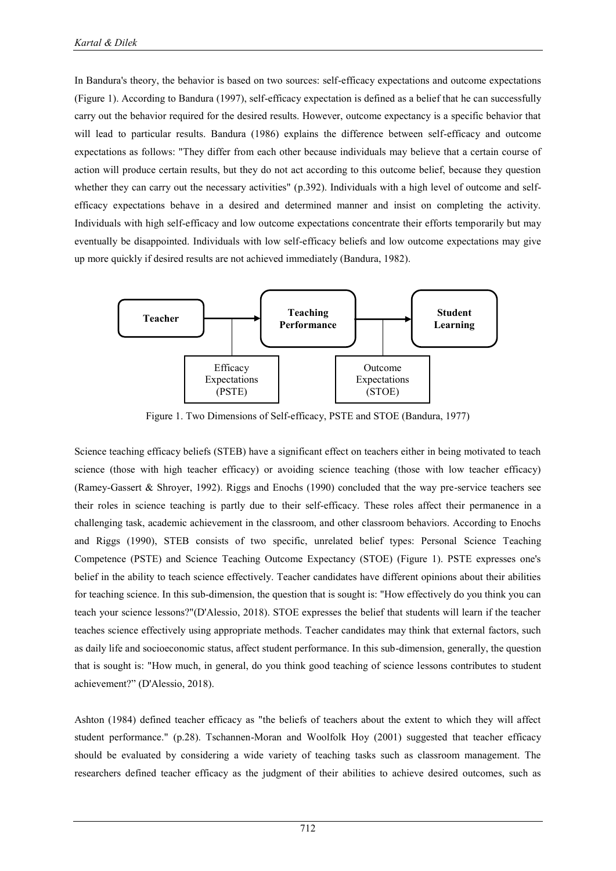In Bandura's theory, the behavior is based on two sources: self-efficacy expectations and outcome expectations (Figure 1). According to Bandura (1997), self-efficacy expectation is defined as a belief that he can successfully carry out the behavior required for the desired results. However, outcome expectancy is a specific behavior that will lead to particular results. Bandura (1986) explains the difference between self-efficacy and outcome expectations as follows: "They differ from each other because individuals may believe that a certain course of action will produce certain results, but they do not act according to this outcome belief, because they question whether they can carry out the necessary activities" (p.392). Individuals with a high level of outcome and selfefficacy expectations behave in a desired and determined manner and insist on completing the activity. Individuals with high self-efficacy and low outcome expectations concentrate their efforts temporarily but may eventually be disappointed. Individuals with low self-efficacy beliefs and low outcome expectations may give up more quickly if desired results are not achieved immediately (Bandura, 1982).



Figure 1. Two Dimensions of Self-efficacy, PSTE and STOE (Bandura, 1977)

Science teaching efficacy beliefs (STEB) have a significant effect on teachers either in being motivated to teach science (those with high teacher efficacy) or avoiding science teaching (those with low teacher efficacy) (Ramey-Gassert & Shroyer, 1992). Riggs and Enochs (1990) concluded that the way pre-service teachers see their roles in science teaching is partly due to their self-efficacy. These roles affect their permanence in a challenging task, academic achievement in the classroom, and other classroom behaviors. According to Enochs and Riggs (1990), STEB consists of two specific, unrelated belief types: Personal Science Teaching Competence (PSTE) and Science Teaching Outcome Expectancy (STOE) (Figure 1). PSTE expresses one's belief in the ability to teach science effectively. Teacher candidates have different opinions about their abilities for teaching science. In this sub-dimension, the question that is sought is: "How effectively do you think you can teach your science lessons?"(D'Alessio, 2018). STOE expresses the belief that students will learn if the teacher teaches science effectively using appropriate methods. Teacher candidates may think that external factors, such as daily life and socioeconomic status, affect student performance. In this sub-dimension, generally, the question that is sought is: "How much, in general, do you think good teaching of science lessons contributes to student achievement?" (D'Alessio, 2018).

Ashton (1984) defined teacher efficacy as "the beliefs of teachers about the extent to which they will affect student performance." (p.28). Tschannen-Moran and Woolfolk Hoy (2001) suggested that teacher efficacy should be evaluated by considering a wide variety of teaching tasks such as classroom management. The researchers defined teacher efficacy as the judgment of their abilities to achieve desired outcomes, such as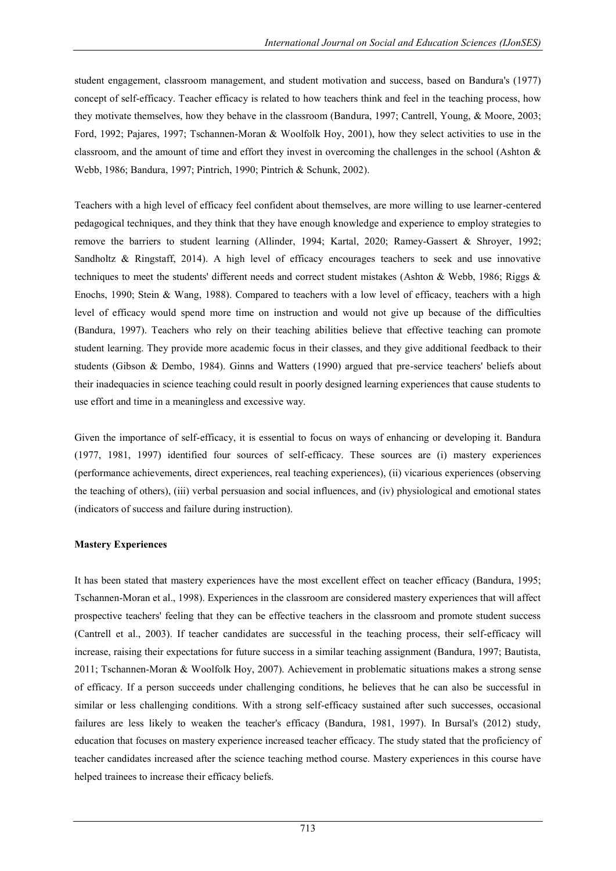student engagement, classroom management, and student motivation and success, based on Bandura's (1977) concept of self-efficacy. Teacher efficacy is related to how teachers think and feel in the teaching process, how they motivate themselves, how they behave in the classroom (Bandura, 1997; Cantrell, Young, & Moore, 2003; Ford, 1992; Pajares, 1997; Tschannen-Moran & Woolfolk Hoy, 2001), how they select activities to use in the classroom, and the amount of time and effort they invest in overcoming the challenges in the school (Ashton & Webb, 1986; Bandura, 1997; Pintrich, 1990; Pintrich & Schunk, 2002).

Teachers with a high level of efficacy feel confident about themselves, are more willing to use learner-centered pedagogical techniques, and they think that they have enough knowledge and experience to employ strategies to remove the barriers to student learning (Allinder, 1994; Kartal, 2020; Ramey-Gassert & Shroyer, 1992; Sandholtz & Ringstaff, 2014). A high level of efficacy encourages teachers to seek and use innovative techniques to meet the students' different needs and correct student mistakes (Ashton & Webb, 1986; Riggs & Enochs, 1990; Stein & Wang, 1988). Compared to teachers with a low level of efficacy, teachers with a high level of efficacy would spend more time on instruction and would not give up because of the difficulties (Bandura, 1997). Teachers who rely on their teaching abilities believe that effective teaching can promote student learning. They provide more academic focus in their classes, and they give additional feedback to their students (Gibson & Dembo, 1984). Ginns and Watters (1990) argued that pre-service teachers' beliefs about their inadequacies in science teaching could result in poorly designed learning experiences that cause students to use effort and time in a meaningless and excessive way.

Given the importance of self-efficacy, it is essential to focus on ways of enhancing or developing it. Bandura (1977, 1981, 1997) identified four sources of self-efficacy. These sources are (i) mastery experiences (performance achievements, direct experiences, real teaching experiences), (ii) vicarious experiences (observing the teaching of others), (iii) verbal persuasion and social influences, and (iv) physiological and emotional states (indicators of success and failure during instruction).

### **Mastery Experiences**

It has been stated that mastery experiences have the most excellent effect on teacher efficacy (Bandura, 1995; Tschannen-Moran et al., 1998). Experiences in the classroom are considered mastery experiences that will affect prospective teachers' feeling that they can be effective teachers in the classroom and promote student success (Cantrell et al., 2003). If teacher candidates are successful in the teaching process, their self-efficacy will increase, raising their expectations for future success in a similar teaching assignment (Bandura, 1997; Bautista, 2011; Tschannen-Moran & Woolfolk Hoy, 2007). Achievement in problematic situations makes a strong sense of efficacy. If a person succeeds under challenging conditions, he believes that he can also be successful in similar or less challenging conditions. With a strong self-efficacy sustained after such successes, occasional failures are less likely to weaken the teacher's efficacy (Bandura, 1981, 1997). In Bursal's (2012) study, education that focuses on mastery experience increased teacher efficacy. The study stated that the proficiency of teacher candidates increased after the science teaching method course. Mastery experiences in this course have helped trainees to increase their efficacy beliefs.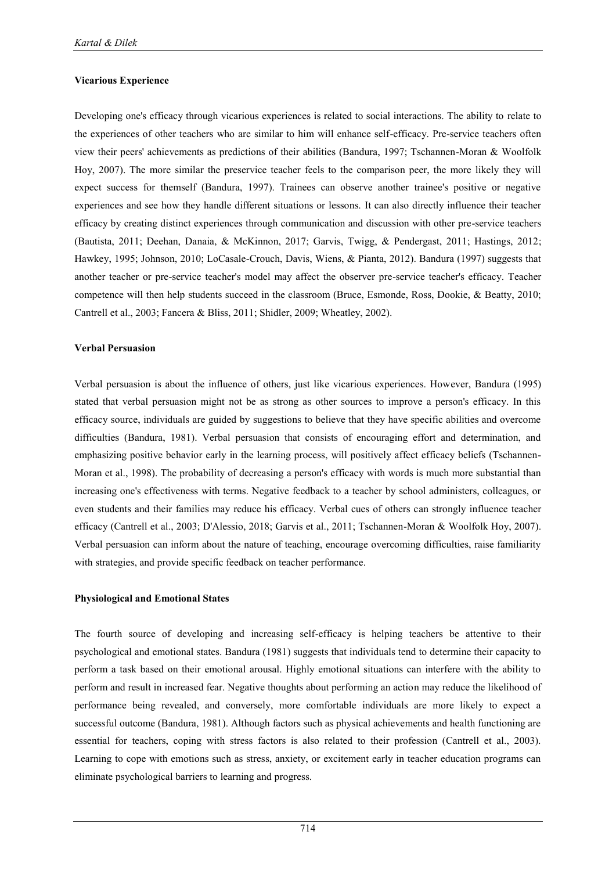#### **Vicarious Experience**

Developing one's efficacy through vicarious experiences is related to social interactions. The ability to relate to the experiences of other teachers who are similar to him will enhance self-efficacy. Pre-service teachers often view their peers' achievements as predictions of their abilities (Bandura, 1997; Tschannen-Moran & Woolfolk Hoy, 2007). The more similar the preservice teacher feels to the comparison peer, the more likely they will expect success for themself (Bandura, 1997). Trainees can observe another trainee's positive or negative experiences and see how they handle different situations or lessons. It can also directly influence their teacher efficacy by creating distinct experiences through communication and discussion with other pre-service teachers (Bautista, 2011; Deehan, Danaia, & McKinnon, 2017; Garvis, Twigg, & Pendergast, 2011; Hastings, 2012; Hawkey, 1995; Johnson, 2010; LoCasale-Crouch, Davis, Wiens, & Pianta, 2012). Bandura (1997) suggests that another teacher or pre-service teacher's model may affect the observer pre-service teacher's efficacy. Teacher competence will then help students succeed in the classroom (Bruce, Esmonde, Ross, Dookie, & Beatty, 2010; Cantrell et al., 2003; Fancera & Bliss, 2011; Shidler, 2009; Wheatley, 2002).

#### **Verbal Persuasion**

Verbal persuasion is about the influence of others, just like vicarious experiences. However, Bandura (1995) stated that verbal persuasion might not be as strong as other sources to improve a person's efficacy. In this efficacy source, individuals are guided by suggestions to believe that they have specific abilities and overcome difficulties (Bandura, 1981). Verbal persuasion that consists of encouraging effort and determination, and emphasizing positive behavior early in the learning process, will positively affect efficacy beliefs (Tschannen-Moran et al., 1998). The probability of decreasing a person's efficacy with words is much more substantial than increasing one's effectiveness with terms. Negative feedback to a teacher by school administers, colleagues, or even students and their families may reduce his efficacy. Verbal cues of others can strongly influence teacher efficacy (Cantrell et al., 2003; D'Alessio, 2018; Garvis et al., 2011; Tschannen-Moran & Woolfolk Hoy, 2007). Verbal persuasion can inform about the nature of teaching, encourage overcoming difficulties, raise familiarity with strategies, and provide specific feedback on teacher performance.

#### **Physiological and Emotional States**

The fourth source of developing and increasing self-efficacy is helping teachers be attentive to their psychological and emotional states. Bandura (1981) suggests that individuals tend to determine their capacity to perform a task based on their emotional arousal. Highly emotional situations can interfere with the ability to perform and result in increased fear. Negative thoughts about performing an action may reduce the likelihood of performance being revealed, and conversely, more comfortable individuals are more likely to expect a successful outcome (Bandura, 1981). Although factors such as physical achievements and health functioning are essential for teachers, coping with stress factors is also related to their profession (Cantrell et al., 2003). Learning to cope with emotions such as stress, anxiety, or excitement early in teacher education programs can eliminate psychological barriers to learning and progress.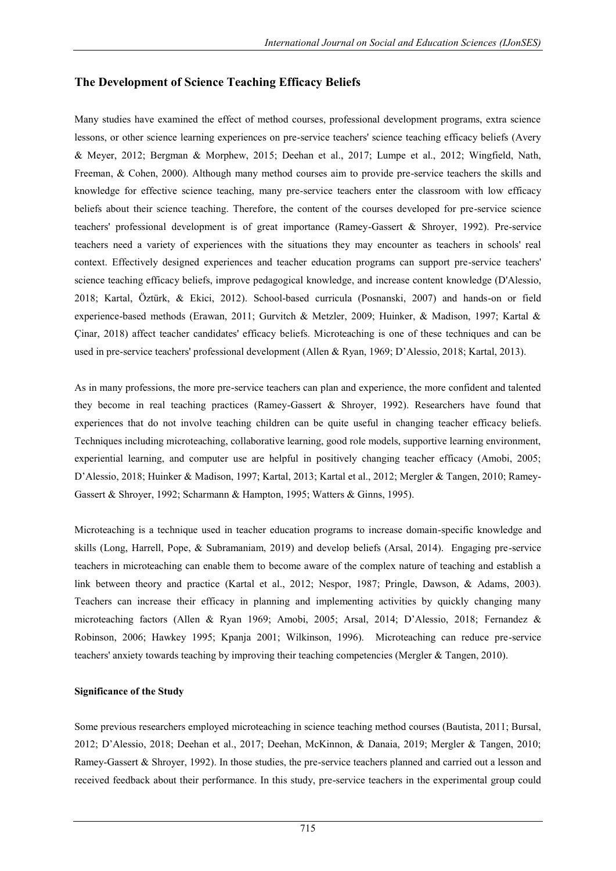# **The Development of Science Teaching Efficacy Beliefs**

Many studies have examined the effect of method courses, professional development programs, extra science lessons, or other science learning experiences on pre-service teachers' science teaching efficacy beliefs (Avery & Meyer, 2012; Bergman & Morphew, 2015; Deehan et al., 2017; Lumpe et al., 2012; Wingfield, Nath, Freeman, & Cohen, 2000). Although many method courses aim to provide pre-service teachers the skills and knowledge for effective science teaching, many pre-service teachers enter the classroom with low efficacy beliefs about their science teaching. Therefore, the content of the courses developed for pre-service science teachers' professional development is of great importance (Ramey-Gassert & Shroyer, 1992). Pre-service teachers need a variety of experiences with the situations they may encounter as teachers in schools' real context. Effectively designed experiences and teacher education programs can support pre-service teachers' science teaching efficacy beliefs, improve pedagogical knowledge, and increase content knowledge (D'Alessio, 2018; Kartal, Öztürk, & Ekici, 2012). School-based curricula (Posnanski, 2007) and hands-on or field experience-based methods (Erawan, 2011; Gurvitch & Metzler, 2009; Huinker, & Madison, 1997; Kartal & Çinar, 2018) affect teacher candidates' efficacy beliefs. Microteaching is one of these techniques and can be used in pre-service teachers' professional development (Allen & Ryan, 1969; D"Alessio, 2018; Kartal, 2013).

As in many professions, the more pre-service teachers can plan and experience, the more confident and talented they become in real teaching practices (Ramey-Gassert & Shroyer, 1992). Researchers have found that experiences that do not involve teaching children can be quite useful in changing teacher efficacy beliefs. Techniques including microteaching, collaborative learning, good role models, supportive learning environment, experiential learning, and computer use are helpful in positively changing teacher efficacy (Amobi, 2005; D"Alessio, 2018; Huinker & Madison, 1997; Kartal, 2013; Kartal et al., 2012; Mergler & Tangen, 2010; Ramey-Gassert & Shroyer, 1992; Scharmann & Hampton, 1995; Watters & Ginns, 1995).

Microteaching is a technique used in teacher education programs to increase domain-specific knowledge and skills (Long, Harrell, Pope, & Subramaniam, 2019) and develop beliefs (Arsal, 2014). Engaging pre-service teachers in microteaching can enable them to become aware of the complex nature of teaching and establish a link between theory and practice (Kartal et al., 2012; Nespor, 1987; Pringle, Dawson, & Adams, 2003). Teachers can increase their efficacy in planning and implementing activities by quickly changing many microteaching factors (Allen & Ryan 1969; Amobi, 2005; Arsal, 2014; D"Alessio, 2018; Fernandez & Robinson, 2006; Hawkey 1995; Kpanja 2001; Wilkinson, 1996). Microteaching can reduce pre-service teachers' anxiety towards teaching by improving their teaching competencies (Mergler & Tangen, 2010).

### **Significance of the Study**

Some previous researchers employed microteaching in science teaching method courses (Bautista, 2011; Bursal, 2012; D"Alessio, 2018; Deehan et al., 2017; Deehan, McKinnon, & Danaia, 2019; Mergler & Tangen, 2010; Ramey-Gassert & Shroyer, 1992). In those studies, the pre-service teachers planned and carried out a lesson and received feedback about their performance. In this study, pre-service teachers in the experimental group could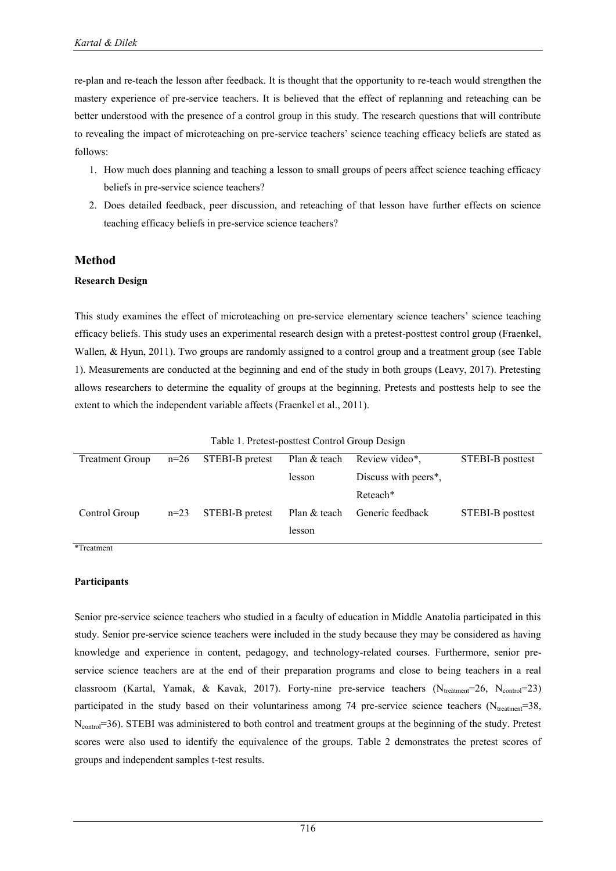re-plan and re-teach the lesson after feedback. It is thought that the opportunity to re-teach would strengthen the mastery experience of pre-service teachers. It is believed that the effect of replanning and reteaching can be better understood with the presence of a control group in this study. The research questions that will contribute to revealing the impact of microteaching on pre-service teachers' science teaching efficacy beliefs are stated as follows:

- 1. How much does planning and teaching a lesson to small groups of peers affect science teaching efficacy beliefs in pre-service science teachers?
- 2. Does detailed feedback, peer discussion, and reteaching of that lesson have further effects on science teaching efficacy beliefs in pre-service science teachers?

#### **Method**

#### **Research Design**

This study examines the effect of microteaching on pre-service elementary science teachers" science teaching efficacy beliefs. This study uses an experimental research design with a pretest-posttest control group (Fraenkel, Wallen, & Hyun, 2011). Two groups are randomly assigned to a control group and a treatment group (see Table 1). Measurements are conducted at the beginning and end of the study in both groups (Leavy, 2017). Pretesting allows researchers to determine the equality of groups at the beginning. Pretests and posttests help to see the extent to which the independent variable affects (Fraenkel et al., 2011).

| Table 1. Pretest-posttest Control Group Design |        |                 |              |                                   |                  |
|------------------------------------------------|--------|-----------------|--------------|-----------------------------------|------------------|
| <b>Treatment Group</b>                         | $n=26$ | STEBI-B pretest | Plan & teach | Review video*.                    | STEBI-B posttest |
|                                                |        |                 | lesson       | Discuss with peers <sup>*</sup> , |                  |
|                                                |        |                 |              | Reteach*                          |                  |
| Control Group                                  | $n=23$ | STEBI-B pretest | Plan & teach | Generic feedback                  | STEBI-B posttest |
|                                                |        |                 | lesson       |                                   |                  |

Table 1. Pretest-posttest Control Group Design

\*Treatment

#### **Participants**

Senior pre-service science teachers who studied in a faculty of education in Middle Anatolia participated in this study. Senior pre-service science teachers were included in the study because they may be considered as having knowledge and experience in content, pedagogy, and technology-related courses. Furthermore, senior preservice science teachers are at the end of their preparation programs and close to being teachers in a real classroom (Kartal, Yamak, & Kavak, 2017). Forty-nine pre-service teachers  $(N_{treatment}=26, N_{control}=23)$ participated in the study based on their voluntariness among 74 pre-service science teachers ( $N_{treatment}=38$ , N<sub>control</sub>=36). STEBI was administered to both control and treatment groups at the beginning of the study. Pretest scores were also used to identify the equivalence of the groups. Table 2 demonstrates the pretest scores of groups and independent samples t-test results.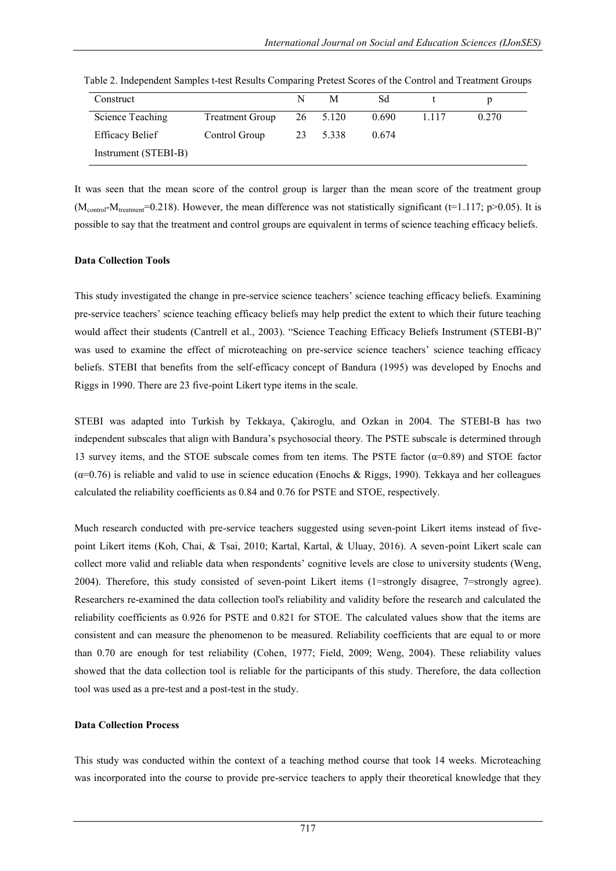| Construct              |                        | N | М        | Sd    |         |       |
|------------------------|------------------------|---|----------|-------|---------|-------|
| Science Teaching       | <b>Treatment Group</b> |   | 26 5.120 | 0.690 | 1 1 1 7 | 0.270 |
| <b>Efficacy Belief</b> | Control Group          |   | 23 5.338 | 0.674 |         |       |
| Instrument (STEBI-B)   |                        |   |          |       |         |       |

Table 2. Independent Samples t-test Results Comparing Pretest Scores of the Control and Treatment Groups

It was seen that the mean score of the control group is larger than the mean score of the treatment group  $(M_{control-M_{treatment}}=0.218)$ . However, the mean difference was not statistically significant (t=1.117; p>0.05). It is possible to say that the treatment and control groups are equivalent in terms of science teaching efficacy beliefs.

#### **Data Collection Tools**

This study investigated the change in pre-service science teachers" science teaching efficacy beliefs. Examining pre-service teachers" science teaching efficacy beliefs may help predict the extent to which their future teaching would affect their students (Cantrell et al., 2003). "Science Teaching Efficacy Beliefs Instrument (STEBI-B)" was used to examine the effect of microteaching on pre-service science teachers' science teaching efficacy beliefs. STEBI that benefits from the self-efficacy concept of Bandura (1995) was developed by Enochs and Riggs in 1990. There are 23 five-point Likert type items in the scale.

STEBI was adapted into Turkish by Tekkaya, Çakiroglu, and Ozkan in 2004. The STEBI-B has two independent subscales that align with Bandura"s psychosocial theory. The PSTE subscale is determined through 13 survey items, and the STOE subscale comes from ten items. The PSTE factor  $(\alpha=0.89)$  and STOE factor  $(\alpha=0.76)$  is reliable and valid to use in science education (Enochs & Riggs, 1990). Tekkaya and her colleagues calculated the reliability coefficients as 0.84 and 0.76 for PSTE and STOE, respectively.

Much research conducted with pre-service teachers suggested using seven-point Likert items instead of fivepoint Likert items (Koh, Chai, & Tsai, 2010; Kartal, Kartal, & Uluay, 2016). A seven-point Likert scale can collect more valid and reliable data when respondents" cognitive levels are close to university students (Weng, 2004). Therefore, this study consisted of seven-point Likert items (1=strongly disagree, 7=strongly agree). Researchers re-examined the data collection tool's reliability and validity before the research and calculated the reliability coefficients as 0.926 for PSTE and 0.821 for STOE. The calculated values show that the items are consistent and can measure the phenomenon to be measured. Reliability coefficients that are equal to or more than 0.70 are enough for test reliability (Cohen, 1977; Field, 2009; Weng, 2004). These reliability values showed that the data collection tool is reliable for the participants of this study. Therefore, the data collection tool was used as a pre-test and a post-test in the study.

#### **Data Collection Process**

This study was conducted within the context of a teaching method course that took 14 weeks. Microteaching was incorporated into the course to provide pre-service teachers to apply their theoretical knowledge that they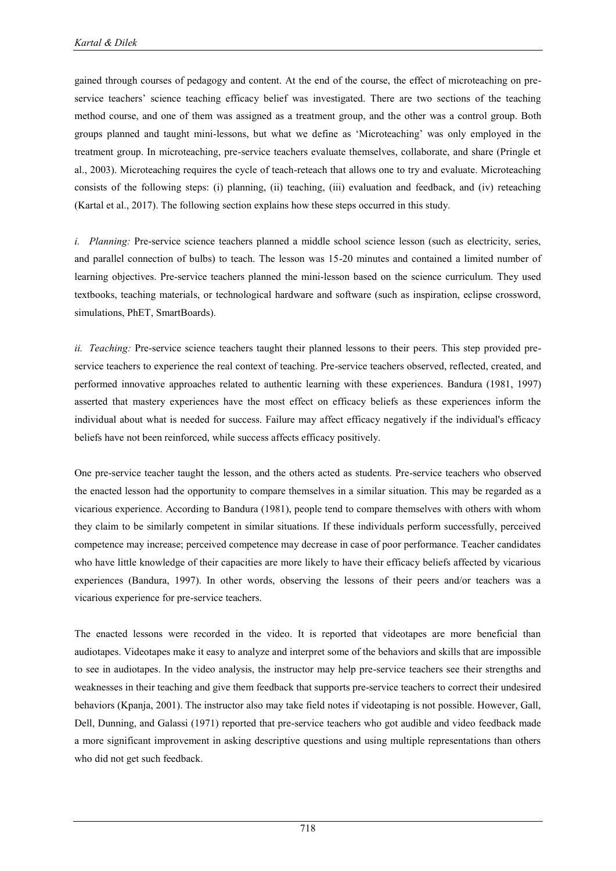gained through courses of pedagogy and content. At the end of the course, the effect of microteaching on preservice teachers" science teaching efficacy belief was investigated. There are two sections of the teaching method course, and one of them was assigned as a treatment group, and the other was a control group. Both groups planned and taught mini-lessons, but what we define as "Microteaching" was only employed in the treatment group. In microteaching, pre-service teachers evaluate themselves, collaborate, and share (Pringle et al., 2003). Microteaching requires the cycle of teach-reteach that allows one to try and evaluate. Microteaching consists of the following steps: (i) planning, (ii) teaching, (iii) evaluation and feedback, and (iv) reteaching (Kartal et al., 2017). The following section explains how these steps occurred in this study.

*i. Planning:* Pre-service science teachers planned a middle school science lesson (such as electricity, series, and parallel connection of bulbs) to teach. The lesson was 15-20 minutes and contained a limited number of learning objectives. Pre-service teachers planned the mini-lesson based on the science curriculum. They used textbooks, teaching materials, or technological hardware and software (such as inspiration, eclipse crossword, simulations, PhET, SmartBoards).

*ii. Teaching:* Pre-service science teachers taught their planned lessons to their peers. This step provided preservice teachers to experience the real context of teaching. Pre-service teachers observed, reflected, created, and performed innovative approaches related to authentic learning with these experiences. Bandura (1981, 1997) asserted that mastery experiences have the most effect on efficacy beliefs as these experiences inform the individual about what is needed for success. Failure may affect efficacy negatively if the individual's efficacy beliefs have not been reinforced, while success affects efficacy positively.

One pre-service teacher taught the lesson, and the others acted as students. Pre-service teachers who observed the enacted lesson had the opportunity to compare themselves in a similar situation. This may be regarded as a vicarious experience. According to Bandura (1981), people tend to compare themselves with others with whom they claim to be similarly competent in similar situations. If these individuals perform successfully, perceived competence may increase; perceived competence may decrease in case of poor performance. Teacher candidates who have little knowledge of their capacities are more likely to have their efficacy beliefs affected by vicarious experiences (Bandura, 1997). In other words, observing the lessons of their peers and/or teachers was a vicarious experience for pre-service teachers.

The enacted lessons were recorded in the video. It is reported that videotapes are more beneficial than audiotapes. Videotapes make it easy to analyze and interpret some of the behaviors and skills that are impossible to see in audiotapes. In the video analysis, the instructor may help pre-service teachers see their strengths and weaknesses in their teaching and give them feedback that supports pre-service teachers to correct their undesired behaviors (Kpanja, 2001). The instructor also may take field notes if videotaping is not possible. However, Gall, Dell, Dunning, and Galassi (1971) reported that pre-service teachers who got audible and video feedback made a more significant improvement in asking descriptive questions and using multiple representations than others who did not get such feedback.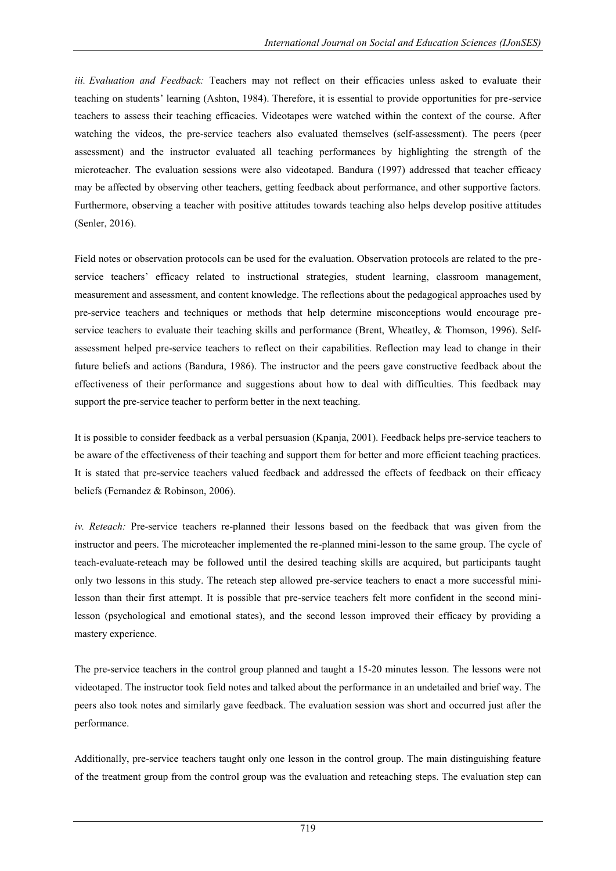*iii. Evaluation and Feedback:* Teachers may not reflect on their efficacies unless asked to evaluate their teaching on students" learning (Ashton, 1984). Therefore, it is essential to provide opportunities for pre-service teachers to assess their teaching efficacies. Videotapes were watched within the context of the course. After watching the videos, the pre-service teachers also evaluated themselves (self-assessment). The peers (peer assessment) and the instructor evaluated all teaching performances by highlighting the strength of the microteacher. The evaluation sessions were also videotaped. Bandura (1997) addressed that teacher efficacy may be affected by observing other teachers, getting feedback about performance, and other supportive factors. Furthermore, observing a teacher with positive attitudes towards teaching also helps develop positive attitudes (Senler, 2016).

Field notes or observation protocols can be used for the evaluation. Observation protocols are related to the preservice teachers' efficacy related to instructional strategies, student learning, classroom management, measurement and assessment, and content knowledge. The reflections about the pedagogical approaches used by pre-service teachers and techniques or methods that help determine misconceptions would encourage preservice teachers to evaluate their teaching skills and performance (Brent, Wheatley, & Thomson, 1996). Selfassessment helped pre-service teachers to reflect on their capabilities. Reflection may lead to change in their future beliefs and actions (Bandura, 1986). The instructor and the peers gave constructive feedback about the effectiveness of their performance and suggestions about how to deal with difficulties. This feedback may support the pre-service teacher to perform better in the next teaching.

It is possible to consider feedback as a verbal persuasion (Kpanja, 2001). Feedback helps pre-service teachers to be aware of the effectiveness of their teaching and support them for better and more efficient teaching practices. It is stated that pre-service teachers valued feedback and addressed the effects of feedback on their efficacy beliefs (Fernandez & Robinson, 2006).

*iv. Reteach:* Pre-service teachers re-planned their lessons based on the feedback that was given from the instructor and peers. The microteacher implemented the re-planned mini-lesson to the same group. The cycle of teach-evaluate-reteach may be followed until the desired teaching skills are acquired, but participants taught only two lessons in this study. The reteach step allowed pre-service teachers to enact a more successful minilesson than their first attempt. It is possible that pre-service teachers felt more confident in the second minilesson (psychological and emotional states), and the second lesson improved their efficacy by providing a mastery experience.

The pre-service teachers in the control group planned and taught a 15-20 minutes lesson. The lessons were not videotaped. The instructor took field notes and talked about the performance in an undetailed and brief way. The peers also took notes and similarly gave feedback. The evaluation session was short and occurred just after the performance.

Additionally, pre-service teachers taught only one lesson in the control group. The main distinguishing feature of the treatment group from the control group was the evaluation and reteaching steps. The evaluation step can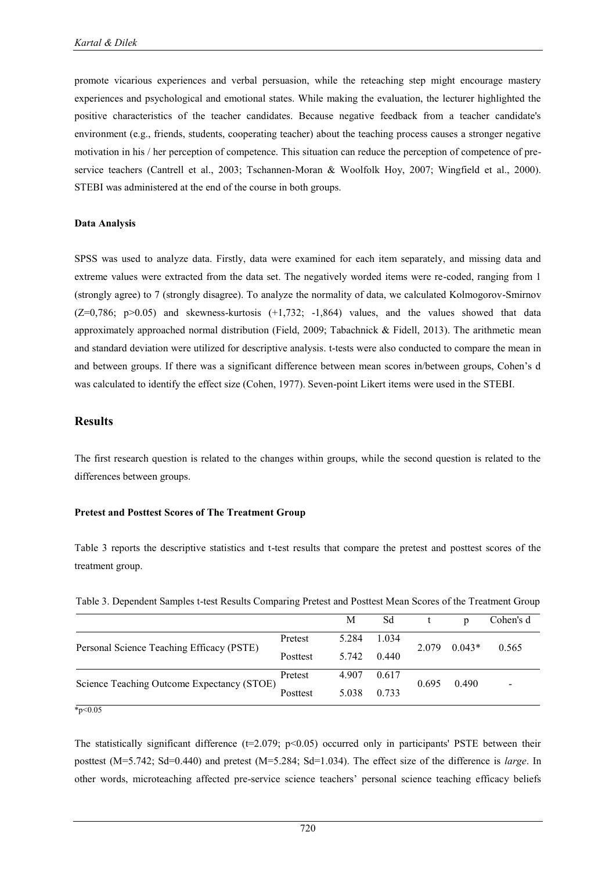promote vicarious experiences and verbal persuasion, while the reteaching step might encourage mastery experiences and psychological and emotional states. While making the evaluation, the lecturer highlighted the positive characteristics of the teacher candidates. Because negative feedback from a teacher candidate's environment (e.g., friends, students, cooperating teacher) about the teaching process causes a stronger negative motivation in his / her perception of competence. This situation can reduce the perception of competence of preservice teachers (Cantrell et al., 2003; Tschannen-Moran & Woolfolk Hoy, 2007; Wingfield et al., 2000). STEBI was administered at the end of the course in both groups.

#### **Data Analysis**

SPSS was used to analyze data. Firstly, data were examined for each item separately, and missing data and extreme values were extracted from the data set. The negatively worded items were re-coded, ranging from 1 (strongly agree) to 7 (strongly disagree). To analyze the normality of data, we calculated Kolmogorov-Smirnov  $(Z=0.786; p>0.05)$  and skewness-kurtosis  $(+1.732; -1.864)$  values, and the values showed that data approximately approached normal distribution (Field, 2009; Tabachnick & Fidell, 2013). The arithmetic mean and standard deviation were utilized for descriptive analysis. t-tests were also conducted to compare the mean in and between groups. If there was a significant difference between mean scores in/between groups, Cohen"s d was calculated to identify the effect size (Cohen, 1977). Seven-point Likert items were used in the STEBI.

#### **Results**

The first research question is related to the changes within groups, while the second question is related to the differences between groups.

#### **Pretest and Posttest Scores of The Treatment Group**

Table 3 reports the descriptive statistics and t-test results that compare the pretest and posttest scores of the treatment group.

|                                            |          | М     | Sd    |       | D        | Cohen's d |
|--------------------------------------------|----------|-------|-------|-------|----------|-----------|
|                                            | Pretest  | 5.284 | 1.034 |       | $0.043*$ | 0.565     |
| Personal Science Teaching Efficacy (PSTE)  | Posttest | 5.742 | 0.440 | 2.079 |          |           |
|                                            | Pretest  | 4.907 | 0.617 | 0.695 | 0.490    |           |
| Science Teaching Outcome Expectancy (STOE) | Posttest | 5.038 | 0.733 |       |          |           |
| $*_{p<0.05}$                               |          |       |       |       |          |           |

Table 3. Dependent Samples t-test Results Comparing Pretest and Posttest Mean Scores of the Treatment Group

The statistically significant difference  $(t=2.079; p<0.05)$  occurred only in participants' PSTE between their posttest (M=5.742; Sd=0.440) and pretest (M=5.284; Sd=1.034). The effect size of the difference is *large*. In other words, microteaching affected pre-service science teachers" personal science teaching efficacy beliefs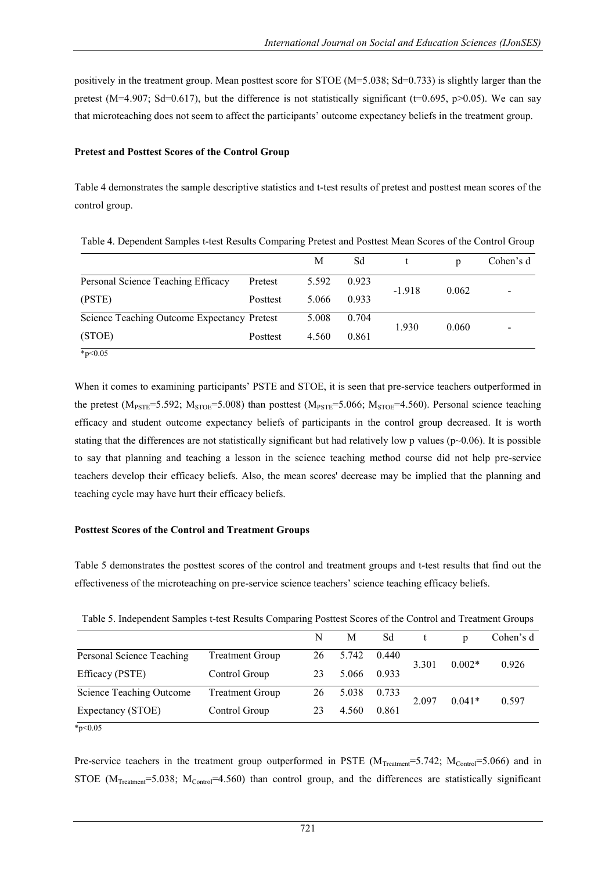positively in the treatment group. Mean posttest score for STOE (M=5.038; Sd=0.733) is slightly larger than the pretest (M=4.907; Sd=0.617), but the difference is not statistically significant (t=0.695, p>0.05). We can say that microteaching does not seem to affect the participants" outcome expectancy beliefs in the treatment group.

#### **Pretest and Posttest Scores of the Control Group**

Table 4 demonstrates the sample descriptive statistics and t-test results of pretest and posttest mean scores of the control group.

|                                             |          | M     | Sd    |                | p     | Cohen's d |
|---------------------------------------------|----------|-------|-------|----------------|-------|-----------|
| Personal Science Teaching Efficacy          | Pretest  | 5.592 | 0.923 |                |       |           |
| (PSTE)                                      | Posttest | 5.066 | 0.933 | $-1.918$       | 0.062 |           |
| Science Teaching Outcome Expectancy Pretest |          | 5.008 | 0.704 |                |       |           |
| (STOE)                                      | Posttest | 4.560 | 0.861 | 1.930<br>0.060 |       |           |

When it comes to examining participants' PSTE and STOE, it is seen that pre-service teachers outperformed in the pretest ( $M_{PSTE} = 5.592$ ;  $M_{STOE} = 5.008$ ) than posttest ( $M_{PSTE} = 5.066$ ;  $M_{STOE} = 4.560$ ). Personal science teaching efficacy and student outcome expectancy beliefs of participants in the control group decreased. It is worth stating that the differences are not statistically significant but had relatively low p values ( $p$  $\sim$ 0.06). It is possible to say that planning and teaching a lesson in the science teaching method course did not help pre-service teachers develop their efficacy beliefs. Also, the mean scores' decrease may be implied that the planning and teaching cycle may have hurt their efficacy beliefs.

### **Posttest Scores of the Control and Treatment Groups**

Table 5 demonstrates the posttest scores of the control and treatment groups and t-test results that find out the effectiveness of the microteaching on pre-service science teachers" science teaching efficacy beliefs.

| Table 5. Independent Samples t-test Results Comparing Posttest Scores of the Control and Treatment Croups |                        |    |       |       |                   |          |           |
|-----------------------------------------------------------------------------------------------------------|------------------------|----|-------|-------|-------------------|----------|-----------|
|                                                                                                           |                        | N  | M     | Sd    |                   | n        | Cohen's d |
| Personal Science Teaching                                                                                 | <b>Treatment Group</b> | 26 | 5.742 | 0.440 | 3.301             | $0.002*$ | 0.926     |
| Efficacy (PSTE)                                                                                           | Control Group          | 23 | 5.066 | 0.933 |                   |          |           |
| Science Teaching Outcome                                                                                  | <b>Treatment Group</b> | 26 | 5.038 | 0.733 |                   |          | 0.597     |
| Expectancy (STOE)                                                                                         | Control Group          | 23 | 4.560 | 0.861 | $0.041*$<br>2.097 |          |           |

Table 5. Independent Samples t-test Results Comparing Posttest Scores of the Control and Treatment Groups

 $*_{p<0.05}$ 

Pre-service teachers in the treatment group outperformed in PSTE  $(M_{Teatment} = 5.742; M_{Control} = 5.066)$  and in STOE  $(M_{Treatment}=5.038; M_{Control}=4.560)$  than control group, and the differences are statistically significant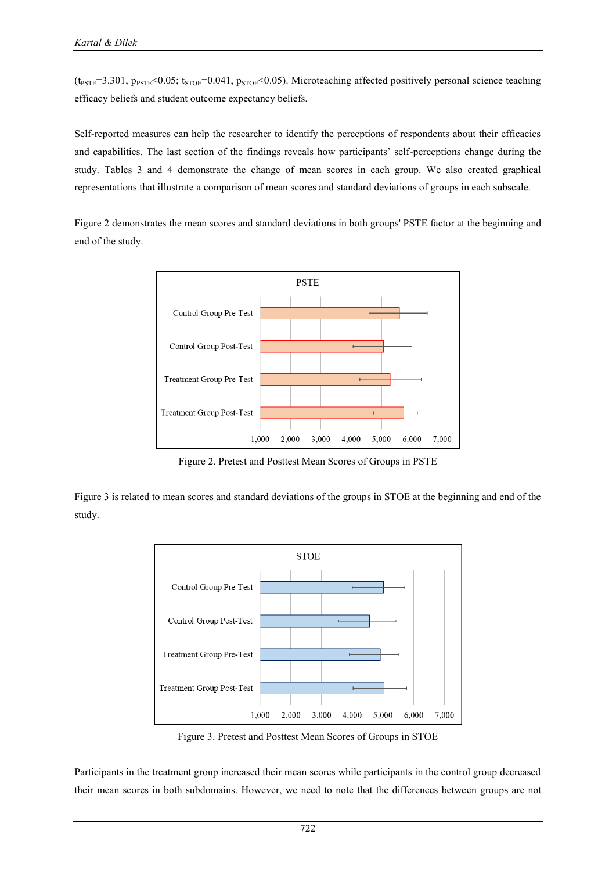$(t_{PSTE}=3.301, p_{PSTE}<0.05; t_{STOE}=0.041, p_{STOE}<0.05)$ . Microteaching affected positively personal science teaching efficacy beliefs and student outcome expectancy beliefs.

Self-reported measures can help the researcher to identify the perceptions of respondents about their efficacies and capabilities. The last section of the findings reveals how participants' self-perceptions change during the study. Tables 3 and 4 demonstrate the change of mean scores in each group. We also created graphical representations that illustrate a comparison of mean scores and standard deviations of groups in each subscale.

Figure 2 demonstrates the mean scores and standard deviations in both groups' PSTE factor at the beginning and end of the study.



Figure 2. Pretest and Posttest Mean Scores of Groups in PSTE

Figure 3 is related to mean scores and standard deviations of the groups in STOE at the beginning and end of the study.



Figure 3. Pretest and Posttest Mean Scores of Groups in STOE

Participants in the treatment group increased their mean scores while participants in the control group decreased their mean scores in both subdomains. However, we need to note that the differences between groups are not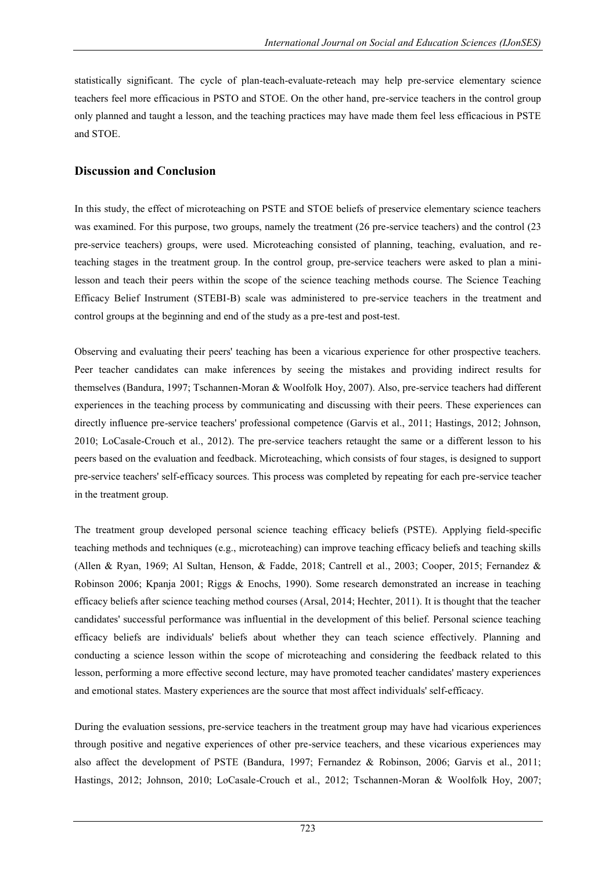statistically significant. The cycle of plan-teach-evaluate-reteach may help pre-service elementary science teachers feel more efficacious in PSTO and STOE. On the other hand, pre-service teachers in the control group only planned and taught a lesson, and the teaching practices may have made them feel less efficacious in PSTE and STOE.

# **Discussion and Conclusion**

In this study, the effect of microteaching on PSTE and STOE beliefs of preservice elementary science teachers was examined. For this purpose, two groups, namely the treatment (26 pre-service teachers) and the control (23 pre-service teachers) groups, were used. Microteaching consisted of planning, teaching, evaluation, and reteaching stages in the treatment group. In the control group, pre-service teachers were asked to plan a minilesson and teach their peers within the scope of the science teaching methods course. The Science Teaching Efficacy Belief Instrument (STEBI-B) scale was administered to pre-service teachers in the treatment and control groups at the beginning and end of the study as a pre-test and post-test.

Observing and evaluating their peers' teaching has been a vicarious experience for other prospective teachers. Peer teacher candidates can make inferences by seeing the mistakes and providing indirect results for themselves (Bandura, 1997; Tschannen-Moran & Woolfolk Hoy, 2007). Also, pre-service teachers had different experiences in the teaching process by communicating and discussing with their peers. These experiences can directly influence pre-service teachers' professional competence (Garvis et al., 2011; Hastings, 2012; Johnson, 2010; LoCasale-Crouch et al., 2012). The pre-service teachers retaught the same or a different lesson to his peers based on the evaluation and feedback. Microteaching, which consists of four stages, is designed to support pre-service teachers' self-efficacy sources. This process was completed by repeating for each pre-service teacher in the treatment group.

The treatment group developed personal science teaching efficacy beliefs (PSTE). Applying field-specific teaching methods and techniques (e.g., microteaching) can improve teaching efficacy beliefs and teaching skills (Allen & Ryan, 1969; Al Sultan, Henson, & Fadde, 2018; Cantrell et al., 2003; Cooper, 2015; Fernandez & Robinson 2006; Kpanja 2001; Riggs & Enochs, 1990). Some research demonstrated an increase in teaching efficacy beliefs after science teaching method courses (Arsal, 2014; Hechter, 2011). It is thought that the teacher candidates' successful performance was influential in the development of this belief. Personal science teaching efficacy beliefs are individuals' beliefs about whether they can teach science effectively. Planning and conducting a science lesson within the scope of microteaching and considering the feedback related to this lesson, performing a more effective second lecture, may have promoted teacher candidates' mastery experiences and emotional states. Mastery experiences are the source that most affect individuals' self-efficacy.

During the evaluation sessions, pre-service teachers in the treatment group may have had vicarious experiences through positive and negative experiences of other pre-service teachers, and these vicarious experiences may also affect the development of PSTE (Bandura, 1997; Fernandez & Robinson, 2006; Garvis et al., 2011; Hastings, 2012; Johnson, 2010; LoCasale-Crouch et al., 2012; Tschannen-Moran & Woolfolk Hoy, 2007;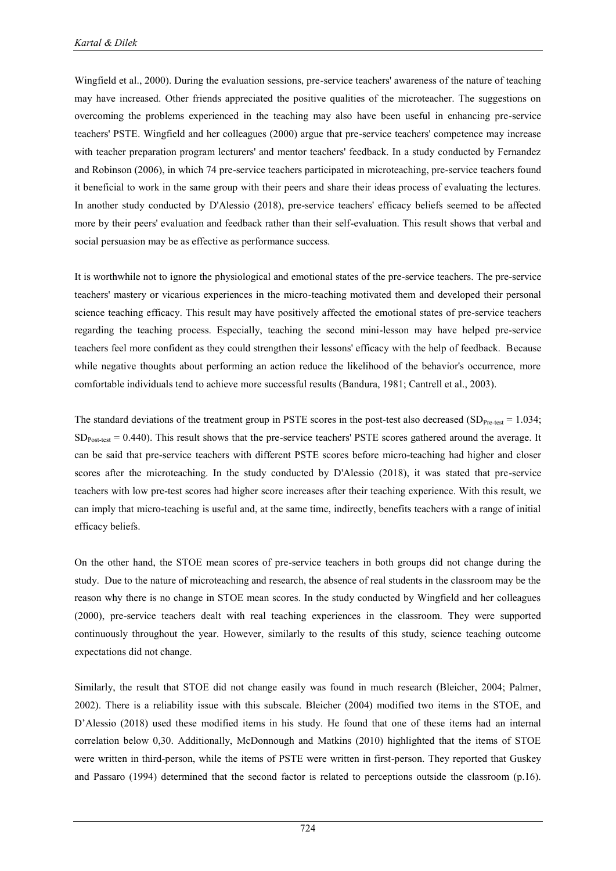Wingfield et al., 2000). During the evaluation sessions, pre-service teachers' awareness of the nature of teaching may have increased. Other friends appreciated the positive qualities of the microteacher. The suggestions on overcoming the problems experienced in the teaching may also have been useful in enhancing pre-service teachers' PSTE. Wingfield and her colleagues (2000) argue that pre-service teachers' competence may increase with teacher preparation program lecturers' and mentor teachers' feedback. In a study conducted by Fernandez and Robinson (2006), in which 74 pre-service teachers participated in microteaching, pre-service teachers found it beneficial to work in the same group with their peers and share their ideas process of evaluating the lectures. In another study conducted by D'Alessio (2018), pre-service teachers' efficacy beliefs seemed to be affected more by their peers' evaluation and feedback rather than their self-evaluation. This result shows that verbal and social persuasion may be as effective as performance success.

It is worthwhile not to ignore the physiological and emotional states of the pre-service teachers. The pre-service teachers' mastery or vicarious experiences in the micro-teaching motivated them and developed their personal science teaching efficacy. This result may have positively affected the emotional states of pre-service teachers regarding the teaching process. Especially, teaching the second mini-lesson may have helped pre-service teachers feel more confident as they could strengthen their lessons' efficacy with the help of feedback. Because while negative thoughts about performing an action reduce the likelihood of the behavior's occurrence, more comfortable individuals tend to achieve more successful results (Bandura, 1981; Cantrell et al., 2003).

The standard deviations of the treatment group in PSTE scores in the post-test also decreased (SD<sub>Pre-test</sub>  $= 1.034$ ;  $SD<sub>Post-test</sub> = 0.440$ . This result shows that the pre-service teachers' PSTE scores gathered around the average. It can be said that pre-service teachers with different PSTE scores before micro-teaching had higher and closer scores after the microteaching. In the study conducted by D'Alessio (2018), it was stated that pre-service teachers with low pre-test scores had higher score increases after their teaching experience. With this result, we can imply that micro-teaching is useful and, at the same time, indirectly, benefits teachers with a range of initial efficacy beliefs.

On the other hand, the STOE mean scores of pre-service teachers in both groups did not change during the study. Due to the nature of microteaching and research, the absence of real students in the classroom may be the reason why there is no change in STOE mean scores. In the study conducted by Wingfield and her colleagues (2000), pre-service teachers dealt with real teaching experiences in the classroom. They were supported continuously throughout the year. However, similarly to the results of this study, science teaching outcome expectations did not change.

Similarly, the result that STOE did not change easily was found in much research (Bleicher, 2004; Palmer, 2002). There is a reliability issue with this subscale. Bleicher (2004) modified two items in the STOE, and D'Alessio (2018) used these modified items in his study. He found that one of these items had an internal correlation below 0,30. Additionally, McDonnough and Matkins (2010) highlighted that the items of STOE were written in third-person, while the items of PSTE were written in first-person. They reported that Guskey and Passaro (1994) determined that the second factor is related to perceptions outside the classroom (p.16).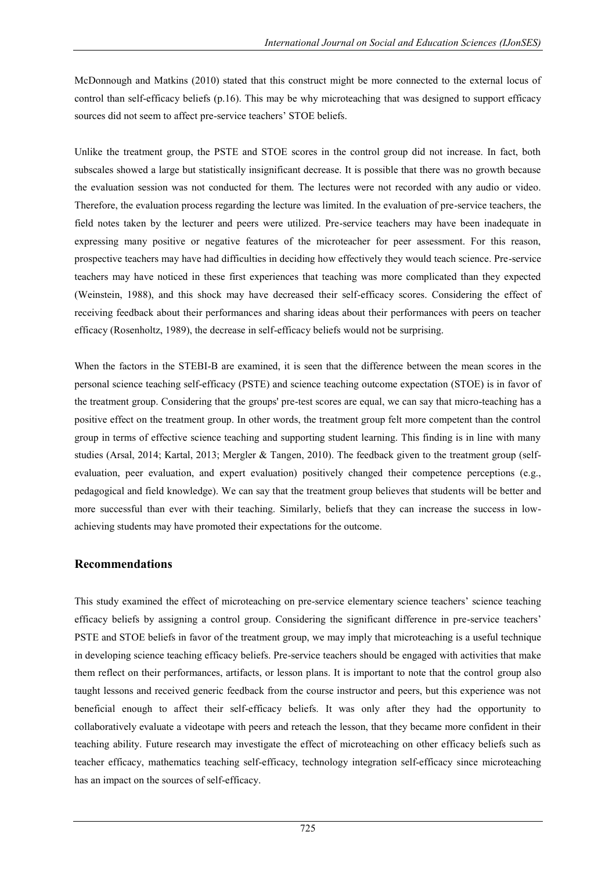McDonnough and Matkins (2010) stated that this construct might be more connected to the external locus of control than self-efficacy beliefs (p.16). This may be why microteaching that was designed to support efficacy sources did not seem to affect pre-service teachers' STOE beliefs.

Unlike the treatment group, the PSTE and STOE scores in the control group did not increase. In fact, both subscales showed a large but statistically insignificant decrease. It is possible that there was no growth because the evaluation session was not conducted for them. The lectures were not recorded with any audio or video. Therefore, the evaluation process regarding the lecture was limited. In the evaluation of pre-service teachers, the field notes taken by the lecturer and peers were utilized. Pre-service teachers may have been inadequate in expressing many positive or negative features of the microteacher for peer assessment. For this reason, prospective teachers may have had difficulties in deciding how effectively they would teach science. Pre-service teachers may have noticed in these first experiences that teaching was more complicated than they expected (Weinstein, 1988), and this shock may have decreased their self-efficacy scores. Considering the effect of receiving feedback about their performances and sharing ideas about their performances with peers on teacher efficacy (Rosenholtz, 1989), the decrease in self-efficacy beliefs would not be surprising.

When the factors in the STEBI-B are examined, it is seen that the difference between the mean scores in the personal science teaching self-efficacy (PSTE) and science teaching outcome expectation (STOE) is in favor of the treatment group. Considering that the groups' pre-test scores are equal, we can say that micro-teaching has a positive effect on the treatment group. In other words, the treatment group felt more competent than the control group in terms of effective science teaching and supporting student learning. This finding is in line with many studies (Arsal, 2014; Kartal, 2013; Mergler & Tangen, 2010). The feedback given to the treatment group (selfevaluation, peer evaluation, and expert evaluation) positively changed their competence perceptions (e.g., pedagogical and field knowledge). We can say that the treatment group believes that students will be better and more successful than ever with their teaching. Similarly, beliefs that they can increase the success in lowachieving students may have promoted their expectations for the outcome.

# **Recommendations**

This study examined the effect of microteaching on pre-service elementary science teachers" science teaching efficacy beliefs by assigning a control group. Considering the significant difference in pre-service teachers" PSTE and STOE beliefs in favor of the treatment group, we may imply that microteaching is a useful technique in developing science teaching efficacy beliefs. Pre-service teachers should be engaged with activities that make them reflect on their performances, artifacts, or lesson plans. It is important to note that the control group also taught lessons and received generic feedback from the course instructor and peers, but this experience was not beneficial enough to affect their self-efficacy beliefs. It was only after they had the opportunity to collaboratively evaluate a videotape with peers and reteach the lesson, that they became more confident in their teaching ability. Future research may investigate the effect of microteaching on other efficacy beliefs such as teacher efficacy, mathematics teaching self-efficacy, technology integration self-efficacy since microteaching has an impact on the sources of self-efficacy.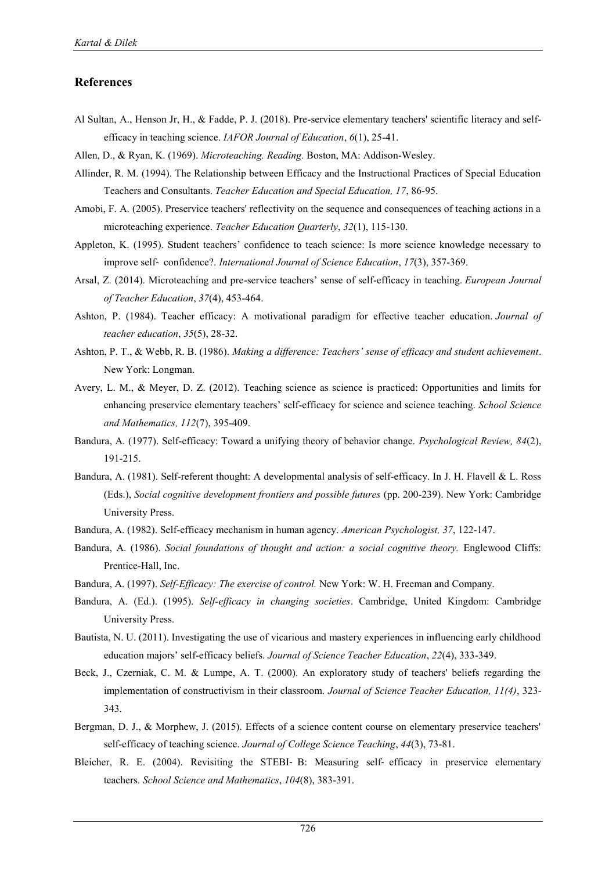# **References**

- Al Sultan, A., Henson Jr, H., & Fadde, P. J. (2018). Pre-service elementary teachers' scientific literacy and selfefficacy in teaching science. *IAFOR Journal of Education*, *6*(1), 25-41.
- Allen, D., & Ryan, K. (1969). *Microteaching. Reading.* Boston, MA: Addison-Wesley.
- Allinder, R. M. (1994). The Relationship between Efficacy and the Instructional Practices of Special Education Teachers and Consultants. *Teacher Education and Special Education, 17*, 86-95.
- Amobi, F. A. (2005). Preservice teachers' reflectivity on the sequence and consequences of teaching actions in a microteaching experience. *Teacher Education Quarterly*, *32*(1), 115-130.
- Appleton, K. (1995). Student teachers' confidence to teach science: Is more science knowledge necessary to improve self‐ confidence?. *International Journal of Science Education*, *17*(3), 357-369.
- Arsal, Z. (2014). Microteaching and pre-service teachers" sense of self-efficacy in teaching. *European Journal of Teacher Education*, *37*(4), 453-464.
- Ashton, P. (1984). Teacher efficacy: A motivational paradigm for effective teacher education. *Journal of teacher education*, *35*(5), 28-32.
- Ashton, P. T., & Webb, R. B. (1986). *Making a difference: Teachers' sense of efficacy and student achievement*. New York: Longman.
- Avery, L. M., & Meyer, D. Z. (2012). Teaching science as science is practiced: Opportunities and limits for enhancing preservice elementary teachers" self-efficacy for science and science teaching. *School Science and Mathematics, 112*(7), 395-409.
- Bandura, A. (1977). Self-efficacy: Toward a unifying theory of behavior change. *Psychological Review, 84*(2), 191-215.
- Bandura, A. (1981). Self-referent thought: A developmental analysis of self-efficacy. In J. H. Flavell & L. Ross (Eds.), *Social cognitive development frontiers and possible futures* (pp. 200-239). New York: Cambridge University Press.
- Bandura, A. (1982). Self-efficacy mechanism in human agency. *American Psychologist, 37*, 122-147.
- Bandura, A. (1986). *Social foundations of thought and action: a social cognitive theory.* Englewood Cliffs: Prentice-Hall, Inc.
- Bandura, A. (1997). *Self-Efficacy: The exercise of control.* New York: W. H. Freeman and Company.
- Bandura, A. (Ed.). (1995). *Self-efficacy in changing societies*. Cambridge, United Kingdom: Cambridge University Press.
- Bautista, N. U. (2011). Investigating the use of vicarious and mastery experiences in influencing early childhood education majors" self-efficacy beliefs. *Journal of Science Teacher Education*, *22*(4), 333-349.
- Beck, J., Czerniak, C. M. & Lumpe, A. T. (2000). An exploratory study of teachers' beliefs regarding the implementation of constructivism in their classroom. *Journal of Science Teacher Education, 11(4)*, 323- 343.
- Bergman, D. J., & Morphew, J. (2015). Effects of a science content course on elementary preservice teachers' self-efficacy of teaching science. *Journal of College Science Teaching*, *44*(3), 73-81.
- Bleicher, R. E. (2004). Revisiting the STEBI‐ B: Measuring self‐ efficacy in preservice elementary teachers. *School Science and Mathematics*, *104*(8), 383-391.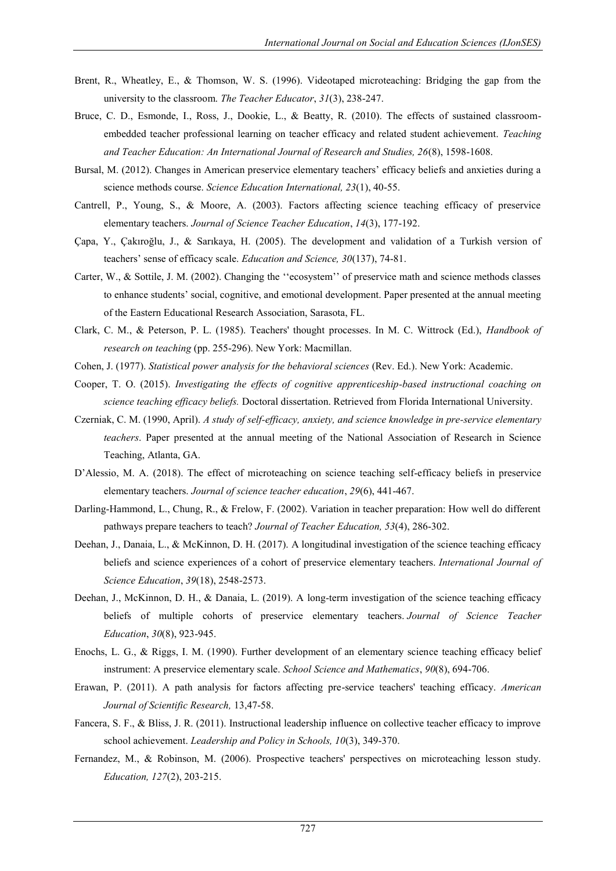- Brent, R., Wheatley, E., & Thomson, W. S. (1996). Videotaped microteaching: Bridging the gap from the university to the classroom. *The Teacher Educator*, *31*(3), 238-247.
- Bruce, C. D., Esmonde, I., Ross, J., Dookie, L., & Beatty, R. (2010). The effects of sustained classroomembedded teacher professional learning on teacher efficacy and related student achievement. *Teaching and Teacher Education: An International Journal of Research and Studies, 26*(8), 1598-1608.
- Bursal, M. (2012). Changes in American preservice elementary teachers" efficacy beliefs and anxieties during a science methods course. *Science Education International, 23*(1), 40-55.
- Cantrell, P., Young, S., & Moore, A. (2003). Factors affecting science teaching efficacy of preservice elementary teachers. *Journal of Science Teacher Education*, *14*(3), 177-192.
- Çapa, Y., Çakıroğlu, J., & Sarıkaya, H. (2005). The development and validation of a Turkish version of teachers" sense of efficacy scale. *Education and Science, 30*(137), 74-81.
- Carter, W., & Sottile, J. M. (2002). Changing the "ecosystem" of preservice math and science methods classes to enhance students" social, cognitive, and emotional development. Paper presented at the annual meeting of the Eastern Educational Research Association, Sarasota, FL.
- Clark, C. M., & Peterson, P. L. (1985). Teachers' thought processes. In M. C. Wittrock (Ed.), *Handbook of research on teaching* (pp. 255-296). New York: Macmillan.
- Cohen, J. (1977). *Statistical power analysis for the behavioral sciences* (Rev. Ed.). New York: Academic.
- Cooper, T. O. (2015). *Investigating the effects of cognitive apprenticeship-based instructional coaching on science teaching efficacy beliefs.* Doctoral dissertation. Retrieved from Florida International University.
- Czerniak, C. M. (1990, April). *A study of self-efficacy, anxiety, and science knowledge in pre-service elementary teachers*. Paper presented at the annual meeting of the National Association of Research in Science Teaching, Atlanta, GA.
- D'Alessio, M. A. (2018). The effect of microteaching on science teaching self-efficacy beliefs in preservice elementary teachers. *Journal of science teacher education*, *29*(6), 441-467.
- Darling-Hammond, L., Chung, R., & Frelow, F. (2002). Variation in teacher preparation: How well do different pathways prepare teachers to teach? *Journal of Teacher Education, 53*(4), 286-302.
- Deehan, J., Danaia, L., & McKinnon, D. H. (2017). A longitudinal investigation of the science teaching efficacy beliefs and science experiences of a cohort of preservice elementary teachers. *International Journal of Science Education*, *39*(18), 2548-2573.
- Deehan, J., McKinnon, D. H., & Danaia, L. (2019). A long-term investigation of the science teaching efficacy beliefs of multiple cohorts of preservice elementary teachers. *Journal of Science Teacher Education*, *30*(8), 923-945.
- Enochs, L. G., & Riggs, I. M. (1990). Further development of an elementary science teaching efficacy belief instrument: A preservice elementary scale. *School Science and Mathematics*, *90*(8), 694-706.
- Erawan, P. (2011). A path analysis for factors affecting pre-service teachers' teaching efficacy. *American Journal of Scientific Research,* 13,47-58.
- Fancera, S. F., & Bliss, J. R. (2011). Instructional leadership influence on collective teacher efficacy to improve school achievement. *Leadership and Policy in Schools, 10*(3), 349-370.
- Fernandez, M., & Robinson, M. (2006). Prospective teachers' perspectives on microteaching lesson study. *Education, 127*(2), 203-215.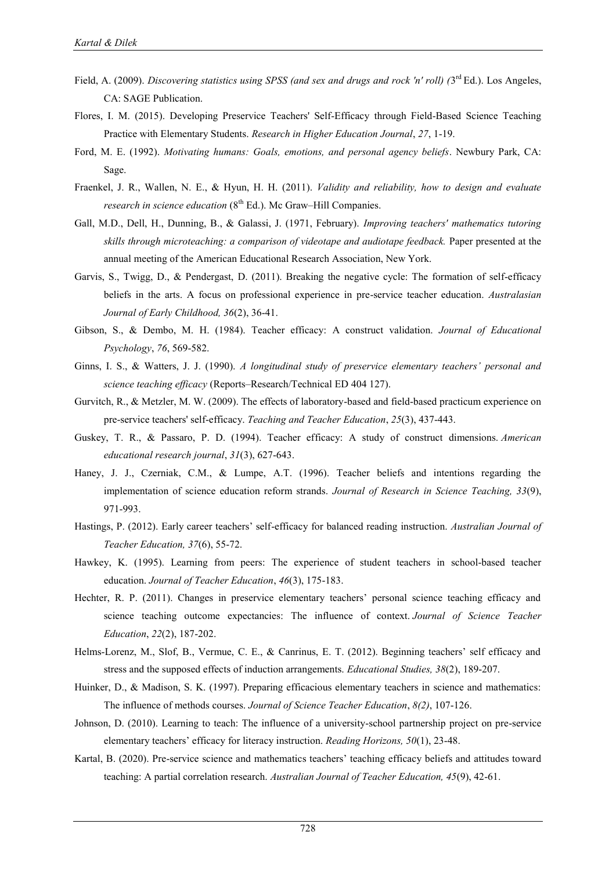- Field, A. (2009). *Discovering statistics using SPSS (and sex and drugs and rock 'n' roll) (3<sup>rd</sup> Ed.). Los Angeles,* CA: SAGE Publication.
- Flores, I. M. (2015). Developing Preservice Teachers' Self-Efficacy through Field-Based Science Teaching Practice with Elementary Students. *Research in Higher Education Journal*, *27*, 1-19.
- Ford, M. E. (1992). *Motivating humans: Goals, emotions, and personal agency beliefs*. Newbury Park, CA: Sage.
- Fraenkel, J. R., Wallen, N. E., & Hyun, H. H. (2011). *Validity and reliability, how to design and evaluate research in science education* (8<sup>th</sup> Ed.). Mc Graw–Hill Companies.
- Gall, M.D., Dell, H., Dunning, B., & Galassi, J. (1971, February). *Improving teachers' mathematics tutoring skills through microteaching: a comparison of videotape and audiotape feedback.* Paper presented at the annual meeting of the American Educational Research Association, New York.
- Garvis, S., Twigg, D., & Pendergast, D. (2011). Breaking the negative cycle: The formation of self-efficacy beliefs in the arts. A focus on professional experience in pre-service teacher education. *Australasian Journal of Early Childhood, 36*(2), 36-41.
- Gibson, S., & Dembo, M. H. (1984). Teacher efficacy: A construct validation. *Journal of Educational Psychology*, *76*, 569-582.
- Ginns, I. S., & Watters, J. J. (1990). *A longitudinal study of preservice elementary teachers' personal and science teaching efficacy* (Reports–Research/Technical ED 404 127).
- Gurvitch, R., & Metzler, M. W. (2009). The effects of laboratory-based and field-based practicum experience on pre-service teachers' self-efficacy. *Teaching and Teacher Education*, *25*(3), 437-443.
- Guskey, T. R., & Passaro, P. D. (1994). Teacher efficacy: A study of construct dimensions. *American educational research journal*, *31*(3), 627-643.
- Haney, J. J., Czerniak, C.M., & Lumpe, A.T. (1996). Teacher beliefs and intentions regarding the implementation of science education reform strands. *Journal of Research in Science Teaching, 33*(9), 971-993.
- Hastings, P. (2012). Early career teachers" self-efficacy for balanced reading instruction. *Australian Journal of Teacher Education, 37*(6), 55-72.
- Hawkey, K. (1995). Learning from peers: The experience of student teachers in school-based teacher education. *Journal of Teacher Education*, *46*(3), 175-183.
- Hechter, R. P. (2011). Changes in preservice elementary teachers' personal science teaching efficacy and science teaching outcome expectancies: The influence of context. *Journal of Science Teacher Education*, *22*(2), 187-202.
- Helms-Lorenz, M., Slof, B., Vermue, C. E., & Canrinus, E. T. (2012). Beginning teachers' self efficacy and stress and the supposed effects of induction arrangements. *Educational Studies, 38*(2), 189-207.
- Huinker, D., & Madison, S. K. (1997). Preparing efficacious elementary teachers in science and mathematics: The influence of methods courses. *Journal of Science Teacher Education*, *8(2)*, 107-126.
- Johnson, D. (2010). Learning to teach: The influence of a university-school partnership project on pre-service elementary teachers" efficacy for literacy instruction. *Reading Horizons, 50*(1), 23-48.
- Kartal, B. (2020). Pre-service science and mathematics teachers" teaching efficacy beliefs and attitudes toward teaching: A partial correlation research. *Australian Journal of Teacher Education, 45*(9), 42-61.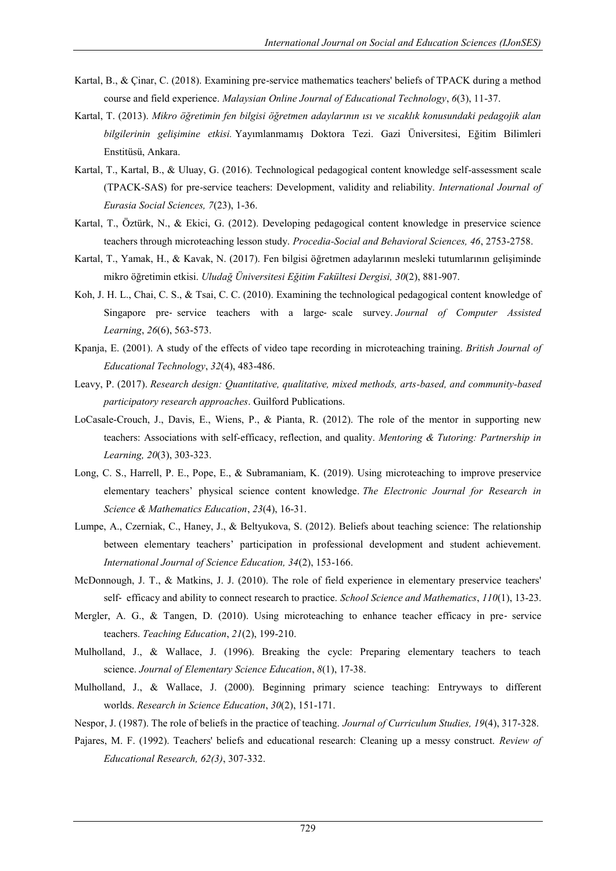- Kartal, B., & Çinar, C. (2018). Examining pre-service mathematics teachers' beliefs of TPACK during a method course and field experience. *Malaysian Online Journal of Educational Technology*, *6*(3), 11-37.
- Kartal, T. (2013). *Mikro öğretimin fen bilgisi öğretmen adaylarının ısı ve sıcaklık konusundaki pedagojik alan bilgilerinin gelişimine etkisi.* Yayımlanmamış Doktora Tezi. Gazi Üniversitesi, Eğitim Bilimleri Enstitüsü, Ankara.
- Kartal, T., Kartal, B., & Uluay, G. (2016). Technological pedagogical content knowledge self-assessment scale (TPACK-SAS) for pre-service teachers: Development, validity and reliability. *International Journal of Eurasia Social Sciences, 7*(23), 1-36.
- Kartal, T., Öztürk, N., & Ekici, G. (2012). Developing pedagogical content knowledge in preservice science teachers through microteaching lesson study. *Procedia-Social and Behavioral Sciences, 46*, 2753-2758.
- Kartal, T., Yamak, H., & Kavak, N. (2017). Fen bilgisi öğretmen adaylarının mesleki tutumlarının gelişiminde mikro öğretimin etkisi. *Uludağ Üniversitesi Eğitim Fakültesi Dergisi, 30*(2), 881-907.
- Koh, J. H. L., Chai, C. S., & Tsai, C. C. (2010). Examining the technological pedagogical content knowledge of Singapore pre‐ service teachers with a large‐ scale survey. *Journal of Computer Assisted Learning*, *26*(6), 563-573.
- Kpanja, E. (2001). A study of the effects of video tape recording in microteaching training. *British Journal of Educational Technology*, *32*(4), 483-486.
- Leavy, P. (2017). *Research design: Quantitative, qualitative, mixed methods, arts-based, and community-based participatory research approaches*. Guilford Publications.
- LoCasale-Crouch, J., Davis, E., Wiens, P., & Pianta, R. (2012). The role of the mentor in supporting new teachers: Associations with self-efficacy, reflection, and quality. *Mentoring & Tutoring: Partnership in Learning, 20*(3), 303-323.
- Long, C. S., Harrell, P. E., Pope, E., & Subramaniam, K. (2019). Using microteaching to improve preservice elementary teachers" physical science content knowledge. *The Electronic Journal for Research in Science & Mathematics Education*, *23*(4), 16-31.
- Lumpe, A., Czerniak, C., Haney, J., & Beltyukova, S. (2012). Beliefs about teaching science: The relationship between elementary teachers" participation in professional development and student achievement. *International Journal of Science Education, 34*(2), 153-166.
- McDonnough, J. T., & Matkins, J. J. (2010). The role of field experience in elementary preservice teachers' self‐ efficacy and ability to connect research to practice. *School Science and Mathematics*, *110*(1), 13-23.
- Mergler, A. G., & Tangen, D. (2010). Using microteaching to enhance teacher efficacy in pre-service teachers. *Teaching Education*, *21*(2), 199-210.
- Mulholland, J., & Wallace, J. (1996). Breaking the cycle: Preparing elementary teachers to teach science. *Journal of Elementary Science Education*, *8*(1), 17-38.
- Mulholland, J., & Wallace, J. (2000). Beginning primary science teaching: Entryways to different worlds. *Research in Science Education*, *30*(2), 151-171.
- Nespor, J. (1987). The role of beliefs in the practice of teaching. *Journal of Curriculum Studies, 19*(4), 317-328.
- Pajares, M. F. (1992). Teachers' beliefs and educational research: Cleaning up a messy construct. *Review of Educational Research, 62(3)*, 307-332.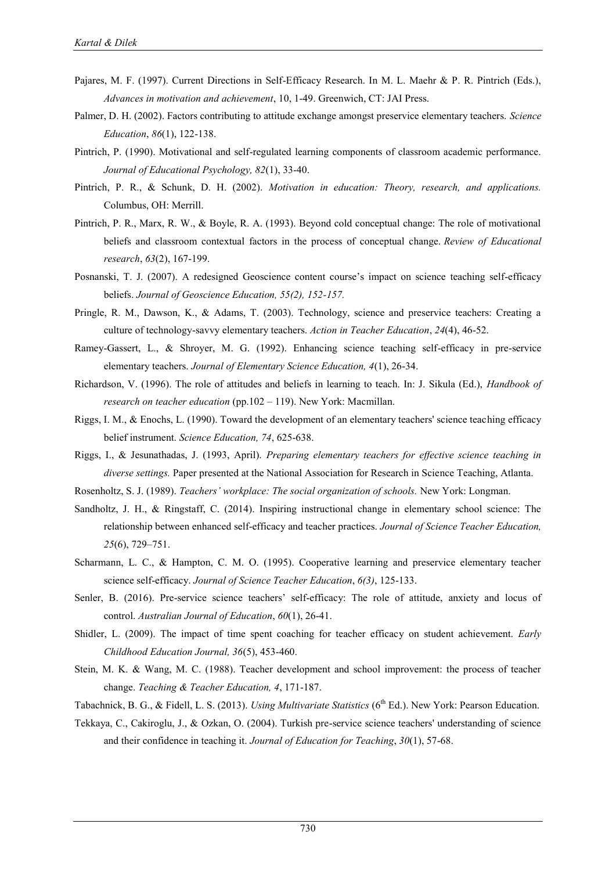- Pajares, M. F. (1997). Current Directions in Self-Efficacy Research. In M. L. Maehr & P. R. Pintrich (Eds.), *Advances in motivation and achievement*, 10, 1-49. Greenwich, CT: JAI Press.
- Palmer, D. H. (2002). Factors contributing to attitude exchange amongst preservice elementary teachers. *Science Education*, *86*(1), 122-138.
- Pintrich, P. (1990). Motivational and self-regulated learning components of classroom academic performance. *Journal of Educational Psychology, 82*(1), 33-40.
- Pintrich, P. R., & Schunk, D. H. (2002). *Motivation in education: Theory, research, and applications.* Columbus, OH: Merrill.
- Pintrich, P. R., Marx, R. W., & Boyle, R. A. (1993). Beyond cold conceptual change: The role of motivational beliefs and classroom contextual factors in the process of conceptual change. *Review of Educational research*, *63*(2), 167-199.
- Posnanski, T. J. (2007). A redesigned Geoscience content course"s impact on science teaching self-efficacy beliefs. *Journal of Geoscience Education, 55(2), 152-157.*
- Pringle, R. M., Dawson, K., & Adams, T. (2003). Technology, science and preservice teachers: Creating a culture of technology-savvy elementary teachers. *Action in Teacher Education*, *24*(4), 46-52.
- Ramey-Gassert, L., & Shroyer, M. G. (1992). Enhancing science teaching self-efficacy in pre-service elementary teachers. *Journal of Elementary Science Education, 4*(1), 26-34.
- Richardson, V. (1996). The role of attitudes and beliefs in learning to teach. In: J. Sikula (Ed.), *Handbook of research on teacher education* (pp.102 – 119). New York: Macmillan.
- Riggs, I. M., & Enochs, L. (1990). Toward the development of an elementary teachers' science teaching efficacy belief instrument. *Science Education, 74*, 625-638.
- Riggs, I., & Jesunathadas, J. (1993, April). *Preparing elementary teachers for effective science teaching in diverse settings.* Paper presented at the National Association for Research in Science Teaching, Atlanta.

Rosenholtz, S. J. (1989). *Teachers' workplace: The social organization of schools.* New York: Longman.

- Sandholtz, J. H., & Ringstaff, C. (2014). Inspiring instructional change in elementary school science: The relationship between enhanced self-efficacy and teacher practices. *Journal of Science Teacher Education, 25*(6), 729–751.
- Scharmann, L. C., & Hampton, C. M. O. (1995). Cooperative learning and preservice elementary teacher science self-efficacy. *Journal of Science Teacher Education*, *6(3)*, 125-133.
- Senler, B. (2016). Pre-service science teachers' self-efficacy: The role of attitude, anxiety and locus of control. *Australian Journal of Education*, *60*(1), 26-41.
- Shidler, L. (2009). The impact of time spent coaching for teacher efficacy on student achievement. *Early Childhood Education Journal, 36*(5), 453-460.
- Stein, M. K. & Wang, M. C. (1988). Teacher development and school improvement: the process of teacher change. *Teaching & Teacher Education, 4*, 171-187.
- Tabachnick, B. G., & Fidell, L. S. (2013). *Using Multivariate Statistics* (6<sup>th</sup> Ed.). New York: Pearson Education.
- Tekkaya, C., Cakiroglu, J., & Ozkan, O. (2004). Turkish pre-service science teachers' understanding of science and their confidence in teaching it. *Journal of Education for Teaching*, *30*(1), 57-68.